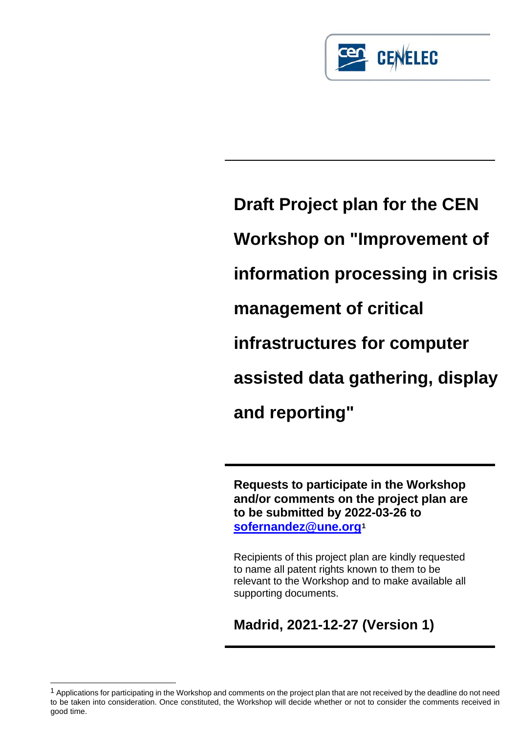

**Draft Project plan for the CEN Workshop on "Improvement of information processing in crisis management of critical infrastructures for computer assisted data gathering, display and reporting"**

**Requests to participate in the Workshop and/or comments on the project plan are to be submitted by 2022-03-26 to [sofernandez@une.org](mailto:sofernandez@une.org)[1](#page-0-0)**

Recipients of this project plan are kindly requested to name all patent rights known to them to be relevant to the Workshop and to make available all supporting documents.

**Madrid, 2021-12-27 (Version 1)**

<span id="page-0-0"></span><sup>&</sup>lt;sup>1</sup> Applications for participating in the Workshop and comments on the project plan that are not received by the deadline do not need to be taken into consideration. Once constituted, the Workshop will decide whether or not to consider the comments received in good time.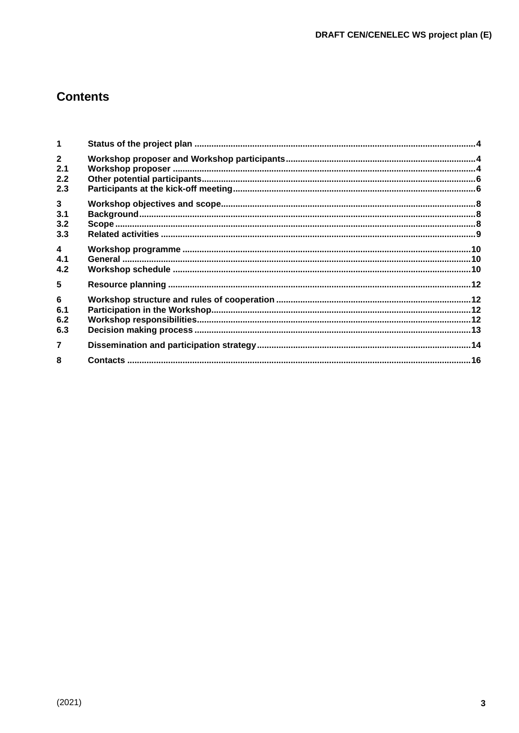# **Contents**

| 1                                            |  |
|----------------------------------------------|--|
| $\overline{2}$<br>2.1<br>2.2<br>2.3          |  |
| $\overline{\mathbf{3}}$<br>3.1<br>3.2<br>3.3 |  |
| $\overline{\mathbf{4}}$<br>4.1<br>4.2        |  |
| 5                                            |  |
| 6<br>6.1<br>6.2<br>6.3                       |  |
| $\overline{7}$                               |  |
| 8                                            |  |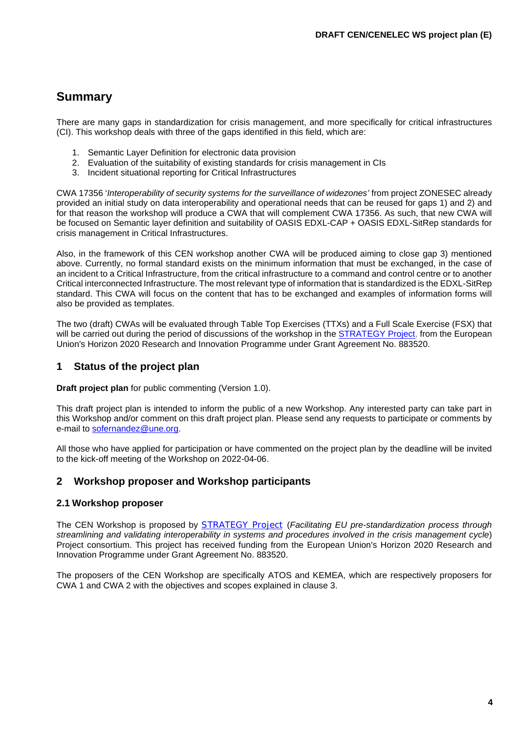# **Summary**

There are many gaps in standardization for crisis management, and more specifically for critical infrastructures (CI). This workshop deals with three of the gaps identified in this field, which are:

- 1. Semantic Layer Definition for electronic data provision
- 2. Evaluation of the suitability of existing standards for crisis management in CIs
- 3. Incident situational reporting for Critical Infrastructures

CWA 17356 '*Interoperability of security systems for the surveillance of widezones'* from project ZONESEC already provided an initial study on data interoperability and operational needs that can be reused for gaps 1) and 2) and for that reason the workshop will produce a CWA that will complement CWA 17356. As such, that new CWA will be focused on Semantic layer definition and suitability of OASIS EDXL-CAP + OASIS EDXL-SitRep standards for crisis management in Critical Infrastructures.

Also, in the framework of this CEN workshop another CWA will be produced aiming to close gap 3) mentioned above. Currently, no formal standard exists on the minimum information that must be exchanged, in the case of an incident to a Critical Infrastructure, from the critical infrastructure to a command and control centre or to another Critical interconnected Infrastructure. The most relevant type of information that is standardized is the EDXL-SitRep standard. This CWA will focus on the content that has to be exchanged and examples of information forms will also be provided as templates.

The two (draft) CWAs will be evaluated through Table Top Exercises (TTXs) and a Full Scale Exercise (FSX) that will be carried out during the period of discussions of the workshop in the [STRATEGY](https://strategy-project.eu/) Project, from the European Union's Horizon 2020 Research and Innovation Programme under Grant Agreement No. 883520.

# <span id="page-2-0"></span>**1 Status of the project plan**

**Draft project plan** for public commenting (Version 1.0).

This draft project plan is intended to inform the public of a new Workshop. Any interested party can take part in this Workshop and/or comment on this draft project plan. Please send any requests to participate or comments by e-mail to [sofernandez@une.org.](mailto:sofernandez@une.org)

All those who have applied for participation or have commented on the project plan by the deadline will be invited to the kick-off meeting of the Workshop on 2022-04-06.

## <span id="page-2-1"></span>**2 Workshop proposer and Workshop participants**

#### <span id="page-2-2"></span>**2.1 Workshop proposer**

The CEN Workshop is proposed by [STRATEGY](https://strategy-project.eu/) Project (*Facilitating EU pre-standardization process through streamlining and validating interoperability in systems and procedures involved in the crisis management cycle*) Project consortium. This project has received funding from the European Union's Horizon 2020 Research and Innovation Programme under Grant Agreement No. 883520.

The proposers of the CEN Workshop are specifically ATOS and KEMEA, which are respectively proposers for CWA 1 and CWA 2 with the objectives and scopes explained in clause 3.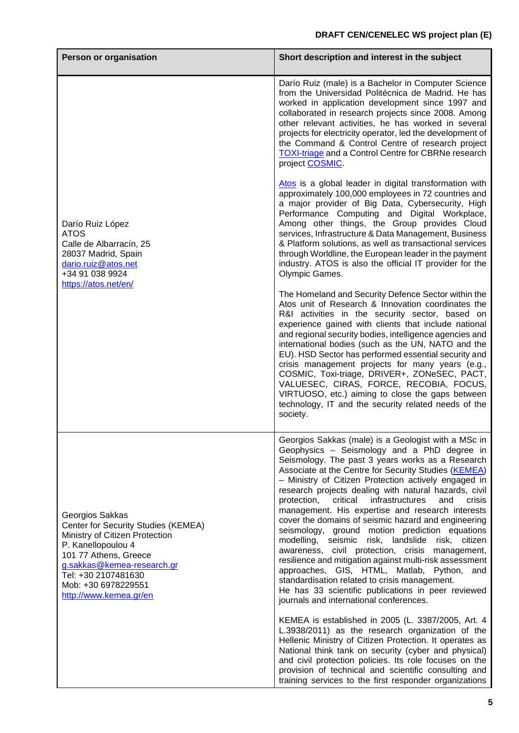| Person or organisation                                                                                                                                                                                                                        | Short description and interest in the subject                                                                                                                                                                                                                                                                                                                                                                                                                                                                                                                                                                                                                                                                                                                                                                                                                                                                                 |
|-----------------------------------------------------------------------------------------------------------------------------------------------------------------------------------------------------------------------------------------------|-------------------------------------------------------------------------------------------------------------------------------------------------------------------------------------------------------------------------------------------------------------------------------------------------------------------------------------------------------------------------------------------------------------------------------------------------------------------------------------------------------------------------------------------------------------------------------------------------------------------------------------------------------------------------------------------------------------------------------------------------------------------------------------------------------------------------------------------------------------------------------------------------------------------------------|
|                                                                                                                                                                                                                                               | Darío Ruiz (male) is a Bachelor in Computer Science<br>from the Universidad Politécnica de Madrid. He has<br>worked in application development since 1997 and<br>collaborated in research projects since 2008. Among<br>other relevant activities, he has worked in several<br>projects for electricity operator, led the development of<br>the Command & Control Centre of research project<br><b>TOXI-triage and a Control Centre for CBRNe research</b><br>project COSMIC                                                                                                                                                                                                                                                                                                                                                                                                                                                  |
| Darío Ruiz López<br><b>ATOS</b><br>Calle de Albarracín, 25<br>28037 Madrid, Spain<br>dario.ruiz@atos.net<br>+34 91 038 9924<br>https://atos.net/en/                                                                                           | Atos is a global leader in digital transformation with<br>approximately 100,000 employees in 72 countries and<br>a major provider of Big Data, Cybersecurity, High<br>Performance Computing and Digital Workplace,<br>Among other things, the Group provides Cloud<br>services, Infrastructure & Data Management, Business<br>& Platform solutions, as well as transactional services<br>through Worldline, the European leader in the payment<br>industry. ATOS is also the official IT provider for the<br>Olympic Games.                                                                                                                                                                                                                                                                                                                                                                                                   |
|                                                                                                                                                                                                                                               | The Homeland and Security Defence Sector within the<br>Atos unit of Research & Innovation coordinates the<br>R&I activities in the security sector, based on<br>experience gained with clients that include national<br>and regional security bodies, intelligence agencies and<br>international bodies (such as the UN, NATO and the<br>EU). HSD Sector has performed essential security and<br>crisis management projects for many years (e.g.,<br>COSMIC, Toxi-triage, DRIVER+, ZONeSEC, PACT,<br>VALUESEC, CIRAS, FORCE, RECOBIA, FOCUS,<br>VIRTUOSO, etc.) aiming to close the gaps between<br>technology, IT and the security related needs of the<br>society.                                                                                                                                                                                                                                                          |
| Georgios Sakkas<br>Center for Security Studies (KEMEA)<br>Ministry of Citizen Protection<br>P. Kanellopoulou 4<br>101 77 Athens, Greece<br>g.sakkas@kemea-research.gr<br>Tel: +30 2107481630<br>Mob: +30 6978229551<br>http://www.kemea.gr/en | Georgios Sakkas (male) is a Geologist with a MSc in<br>Geophysics - Seismology and a PhD degree in<br>Seismology. The past 3 years works as a Research<br>Associate at the Centre for Security Studies (KEMEA)<br>- Ministry of Citizen Protection actively engaged in<br>research projects dealing with natural hazards, civil<br>critical<br>infrastructures<br>protection,<br>and<br>crisis<br>management. His expertise and research interests<br>cover the domains of seismic hazard and engineering<br>seismology, ground motion prediction equations<br>modelling, seismic risk, landslide risk, citizen<br>awareness, civil protection, crisis management,<br>resilience and mitigation against multi-risk assessment<br>approaches, GIS, HTML, Matlab, Python, and<br>standardisation related to crisis management.<br>He has 33 scientific publications in peer reviewed<br>journals and international conferences. |
|                                                                                                                                                                                                                                               | KEMEA is established in 2005 (L. 3387/2005, Art. 4<br>L.3938/2011) as the research organization of the<br>Hellenic Ministry of Citizen Protection. It operates as<br>National think tank on security (cyber and physical)<br>and civil protection policies. Its role focuses on the<br>provision of technical and scientific consulting and<br>training services to the first responder organizations                                                                                                                                                                                                                                                                                                                                                                                                                                                                                                                         |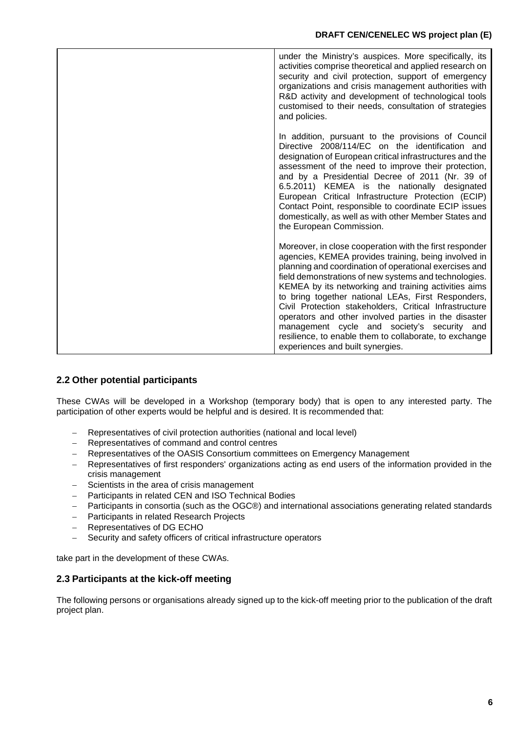| under the Ministry's auspices. More specifically, its<br>activities comprise theoretical and applied research on<br>security and civil protection, support of emergency<br>organizations and crisis management authorities with<br>R&D activity and development of technological tools<br>customised to their needs, consultation of strategies<br>and policies.                                                                                                                                                                                                                                                |
|-----------------------------------------------------------------------------------------------------------------------------------------------------------------------------------------------------------------------------------------------------------------------------------------------------------------------------------------------------------------------------------------------------------------------------------------------------------------------------------------------------------------------------------------------------------------------------------------------------------------|
| In addition, pursuant to the provisions of Council<br>Directive 2008/114/EC on the identification and<br>designation of European critical infrastructures and the<br>assessment of the need to improve their protection,<br>and by a Presidential Decree of 2011 (Nr. 39 of<br>6.5.2011) KEMEA is the nationally designated<br>European Critical Infrastructure Protection (ECIP)<br>Contact Point, responsible to coordinate ECIP issues<br>domestically, as well as with other Member States and<br>the European Commission.                                                                                  |
| Moreover, in close cooperation with the first responder<br>agencies, KEMEA provides training, being involved in<br>planning and coordination of operational exercises and<br>field demonstrations of new systems and technologies.<br>KEMEA by its networking and training activities aims<br>to bring together national LEAs, First Responders,<br>Civil Protection stakeholders, Critical Infrastructure<br>operators and other involved parties in the disaster<br>management cycle and society's security and<br>resilience, to enable them to collaborate, to exchange<br>experiences and built synergies. |

# <span id="page-4-0"></span>**2.2 Other potential participants**

These CWAs will be developed in a Workshop (temporary body) that is open to any interested party. The participation of other experts would be helpful and is desired. It is recommended that:

- − Representatives of civil protection authorities (national and local level)
- − Representatives of command and control centres
- Representatives of the OASIS Consortium committees on Emergency Management
- Representatives of first responders' organizations acting as end users of the information provided in the crisis management
- Scientists in the area of crisis management
- − Participants in related CEN and ISO Technical Bodies
- − Participants in consortia (such as the OGC®) and international associations generating related standards
- − Participants in related Research Projects
- − Representatives of DG ECHO
- − Security and safety officers of critical infrastructure operators

take part in the development of these CWAs.

## <span id="page-4-1"></span>**2.3 Participants at the kick-off meeting**

The following persons or organisations already signed up to the kick-off meeting prior to the publication of the draft project plan.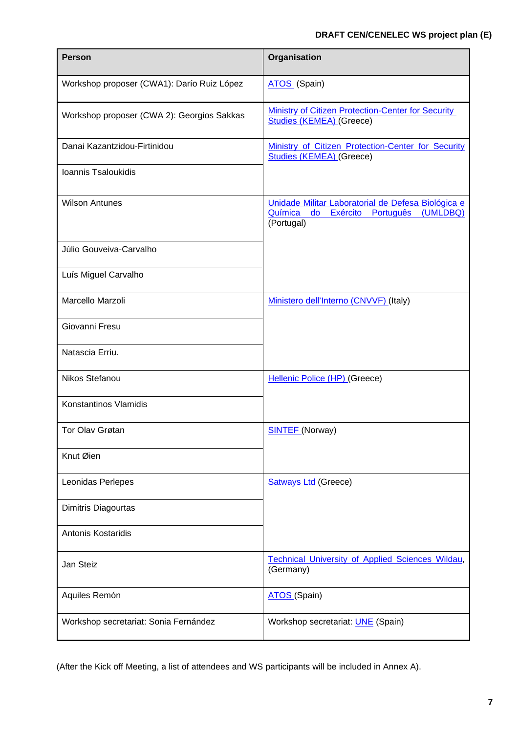| <b>Person</b>                              | Organisation                                                                                                     |
|--------------------------------------------|------------------------------------------------------------------------------------------------------------------|
| Workshop proposer (CWA1): Darío Ruiz López | ATOS (Spain)                                                                                                     |
| Workshop proposer (CWA 2): Georgios Sakkas | <b>Ministry of Citizen Protection-Center for Security</b><br><b>Studies (KEMEA) (Greece)</b>                     |
| Danai Kazantzidou-Firtinidou               | Ministry of Citizen Protection-Center for Security<br><b>Studies (KEMEA) (Greece)</b>                            |
| Ioannis Tsaloukidis                        |                                                                                                                  |
| <b>Wilson Antunes</b>                      | Unidade Militar Laboratorial de Defesa Biológica e<br>do Exército Português<br>Química<br>(UMLDBQ)<br>(Portugal) |
| Júlio Gouveiva-Carvalho                    |                                                                                                                  |
| Luís Miguel Carvalho                       |                                                                                                                  |
| Marcello Marzoli                           | Ministero dell'Interno (CNVVF) (Italy)                                                                           |
| Giovanni Fresu                             |                                                                                                                  |
| Natascia Erriu.                            |                                                                                                                  |
| Nikos Stefanou                             | Hellenic Police (HP) (Greece)                                                                                    |
| Konstantinos Vlamidis                      |                                                                                                                  |
| Tor Olav Grøtan                            | <b>SINTEF</b> (Norway)                                                                                           |
| Knut Øien                                  |                                                                                                                  |
| Leonidas Perlepes                          | <b>Satways Ltd (Greece)</b>                                                                                      |
| Dimitris Diagourtas                        |                                                                                                                  |
| <b>Antonis Kostaridis</b>                  |                                                                                                                  |
| Jan Steiz                                  | <b>Technical University of Applied Sciences Wildau,</b><br>(Germany)                                             |
| Aquiles Remón                              | ATOS (Spain)                                                                                                     |
| Workshop secretariat: Sonia Fernández      | Workshop secretariat: <b>UNE</b> (Spain)                                                                         |

(After the Kick off Meeting, a list of attendees and WS participants will be included in Annex A).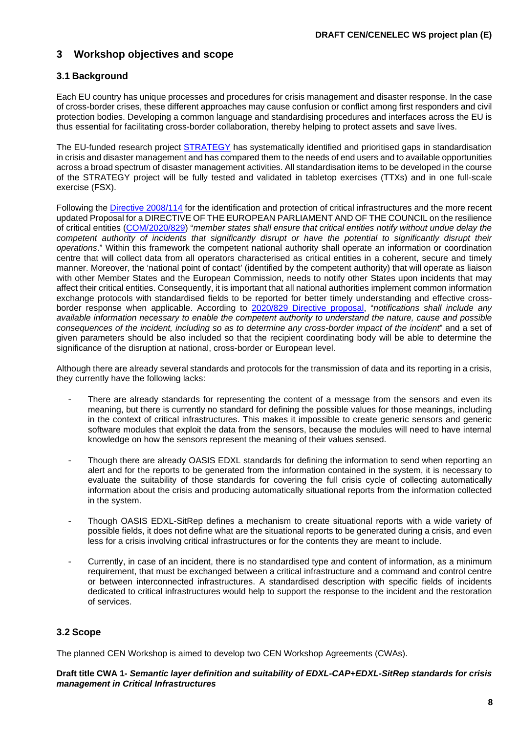# <span id="page-6-0"></span>**3 Workshop objectives and scope**

# <span id="page-6-1"></span>**3.1 Background**

Each EU country has unique processes and procedures for crisis management and disaster response. In the case of cross-border crises, these different approaches may cause confusion or conflict among first responders and civil protection bodies. Developing a common language and standardising procedures and interfaces across the EU is thus essential for facilitating cross-border collaboration, thereby helping to protect assets and save lives.

The EU-funded research project [STRATEGY](https://strategy-project.eu/) has systematically identified and prioritised gaps in standardisation in crisis and disaster management and has compared them to the needs of end users and to available opportunities across a broad spectrum of disaster management activities. All standardisation items to be developed in the course of the STRATEGY project will be fully tested and validated in tabletop exercises (TTXs) and in one full-scale exercise (FSX).

Following the [Directive 2008/114](https://eur-lex.europa.eu/legal-content/EN/TXT/PDF/?uri=CELEX:32008L0114&from=ES) for the identification and protection of critical infrastructures and the more recent updated Proposal for a DIRECTIVE OF THE EUROPEAN PARLIAMENT AND OF THE COUNCIL on the resilience of critical entities [\(COM/2020/829\)](https://eur-lex.europa.eu/resource.html?uri=cellar:74d1acf7-3f94-11eb-b27b-01aa75ed71a1.0001.02/DOC_1&format=PDF) "*member states shall ensure that critical entities notify without undue delay the*  competent authority of incidents that significantly disrupt or have the potential to significantly disrupt their *operations*." Within this framework the competent national authority shall operate an information or coordination centre that will collect data from all operators characterised as critical entities in a coherent, secure and timely manner. Moreover, the 'national point of contact' (identified by the competent authority) that will operate as liaison with other Member States and the European Commission, needs to notify other States upon incidents that may affect their critical entities. Consequently, it is important that all national authorities implement common information exchange protocols with standardised fields to be reported for better timely understanding and effective crossborder response when applicable. According to [2020/829 Directive proposal,](https://eur-lex.europa.eu/resource.html?uri=cellar:74d1acf7-3f94-11eb-b27b-01aa75ed71a1.0001.02/DOC_1&format=PDF) "*notifications shall include any available information necessary to enable the competent authority to understand the nature, cause and possible consequences of the incident, including so as to determine any cross-border impact of the incident*" and a set of given parameters should be also included so that the recipient coordinating body will be able to determine the significance of the disruption at national, cross-border or European level.

Although there are already several standards and protocols for the transmission of data and its reporting in a crisis, they currently have the following lacks:

- There are already standards for representing the content of a message from the sensors and even its meaning, but there is currently no standard for defining the possible values for those meanings, including in the context of critical infrastructures. This makes it impossible to create generic sensors and generic software modules that exploit the data from the sensors, because the modules will need to have internal knowledge on how the sensors represent the meaning of their values sensed.
- Though there are already OASIS EDXL standards for defining the information to send when reporting an alert and for the reports to be generated from the information contained in the system, it is necessary to evaluate the suitability of those standards for covering the full crisis cycle of collecting automatically information about the crisis and producing automatically situational reports from the information collected in the system.
- Though OASIS EDXL-SitRep defines a mechanism to create situational reports with a wide variety of possible fields, it does not define what are the situational reports to be generated during a crisis, and even less for a crisis involving critical infrastructures or for the contents they are meant to include.
- Currently, in case of an incident, there is no standardised type and content of information, as a minimum requirement, that must be exchanged between a critical infrastructure and a command and control centre or between interconnected infrastructures. A standardised description with specific fields of incidents dedicated to critical infrastructures would help to support the response to the incident and the restoration of services.

## <span id="page-6-2"></span>**3.2 Scope**

The planned CEN Workshop is aimed to develop two CEN Workshop Agreements (CWAs).

**Draft title CWA 1-** *Semantic layer definition and suitability of EDXL-CAP+EDXL-SitRep standards for crisis management in Critical Infrastructures*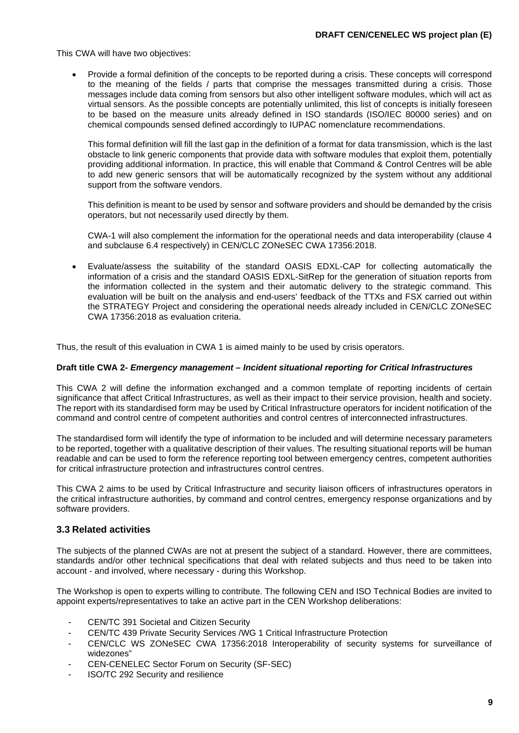This CWA will have two objectives:

• Provide a formal definition of the concepts to be reported during a crisis. These concepts will correspond to the meaning of the fields / parts that comprise the messages transmitted during a crisis. Those messages include data coming from sensors but also other intelligent software modules, which will act as virtual sensors. As the possible concepts are potentially unlimited, this list of concepts is initially foreseen to be based on the measure units already defined in ISO standards (ISO/IEC 80000 series) and on chemical compounds sensed defined accordingly to IUPAC nomenclature recommendations.

This formal definition will fill the last gap in the definition of a format for data transmission, which is the last obstacle to link generic components that provide data with software modules that exploit them, potentially providing additional information. In practice, this will enable that Command & Control Centres will be able to add new generic sensors that will be automatically recognized by the system without any additional support from the software vendors.

This definition is meant to be used by sensor and software providers and should be demanded by the crisis operators, but not necessarily used directly by them.

CWA-1 will also complement the information for the operational needs and data interoperability (clause 4 and subclause 6.4 respectively) in CEN/CLC ZONeSEC CWA 17356:2018.

• Evaluate/assess the suitability of the standard OASIS EDXL-CAP for collecting automatically the information of a crisis and the standard OASIS EDXL-SitRep for the generation of situation reports from the information collected in the system and their automatic delivery to the strategic command. This evaluation will be built on the analysis and end-users' feedback of the TTXs and FSX carried out within the STRATEGY Project and considering the operational needs already included in CEN/CLC ZONeSEC CWA 17356:2018 as evaluation criteria.

Thus, the result of this evaluation in CWA 1 is aimed mainly to be used by crisis operators.

#### **Draft title CWA 2-** *Emergency management – Incident situational reporting for Critical Infrastructures*

This CWA 2 will define the information exchanged and a common template of reporting incidents of certain significance that affect Critical Infrastructures, as well as their impact to their service provision, health and society. The report with its standardised form may be used by Critical Infrastructure operators for incident notification of the command and control centre of competent authorities and control centres of interconnected infrastructures.

The standardised form will identify the type of information to be included and will determine necessary parameters to be reported, together with a qualitative description of their values. The resulting situational reports will be human readable and can be used to form the reference reporting tool between emergency centres, competent authorities for critical infrastructure protection and infrastructures control centres.

This CWA 2 aims to be used by Critical Infrastructure and security liaison officers of infrastructures operators in the critical infrastructure authorities, by command and control centres, emergency response organizations and by software providers.

#### <span id="page-7-0"></span>**3.3 Related activities**

The subjects of the planned CWAs are not at present the subject of a standard. However, there are committees, standards and/or other technical specifications that deal with related subjects and thus need to be taken into account - and involved, where necessary - during this Workshop.

The Workshop is open to experts willing to contribute. The following CEN and ISO Technical Bodies are invited to appoint experts/representatives to take an active part in the CEN Workshop deliberations:

- CEN/TC 391 Societal and Citizen Security
- CEN/TC 439 Private Security Services /WG 1 Critical Infrastructure Protection
- CEN/CLC WS ZONeSEC CWA 17356:2018 Interoperability of security systems for surveillance of widezones"
- CEN-CENELEC Sector Forum on Security (SF-SEC)
- ISO/TC 292 Security and resilience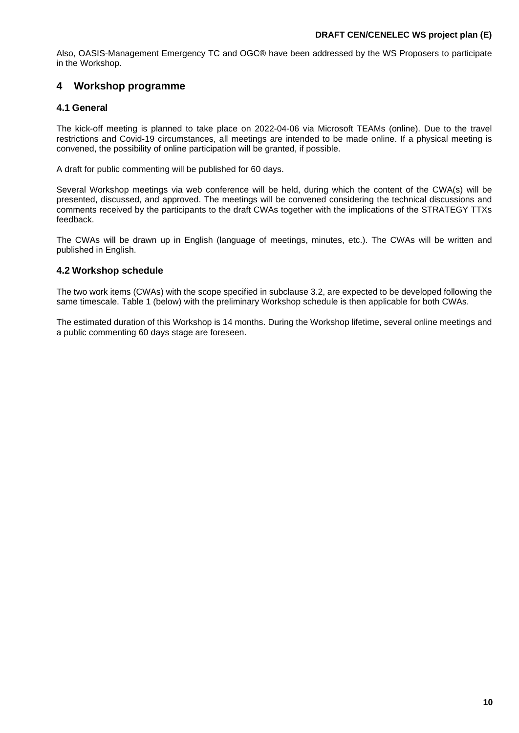Also, OASIS-Management Emergency TC and OGC® have been addressed by the WS Proposers to participate in the Workshop.

# <span id="page-8-0"></span>**4 Workshop programme**

# <span id="page-8-1"></span>**4.1 General**

The kick-off meeting is planned to take place on 2022-04-06 via Microsoft TEAMs (online). Due to the travel restrictions and Covid-19 circumstances, all meetings are intended to be made online. If a physical meeting is convened, the possibility of online participation will be granted, if possible.

A draft for public commenting will be published for 60 days.

Several Workshop meetings via web conference will be held, during which the content of the CWA(s) will be presented, discussed, and approved. The meetings will be convened considering the technical discussions and comments received by the participants to the draft CWAs together with the implications of the STRATEGY TTXs feedback.

The CWAs will be drawn up in English (language of meetings, minutes, etc.). The CWAs will be written and published in English.

# <span id="page-8-2"></span>**4.2 Workshop schedule**

The two work items (CWAs) with the scope specified in subclause 3.2, are expected to be developed following the same timescale. Table 1 (below) with the preliminary Workshop schedule is then applicable for both CWAs.

The estimated duration of this Workshop is 14 months. During the Workshop lifetime, several online meetings and a public commenting 60 days stage are foreseen.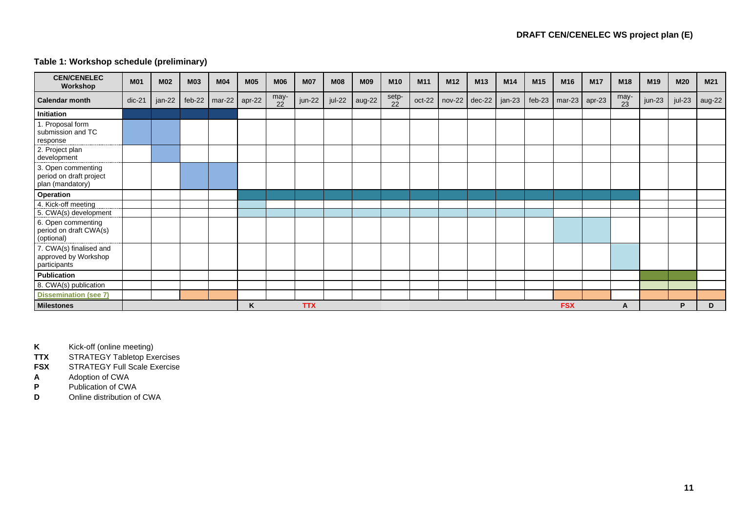# **Table 1: Workshop schedule (preliminary)**

| <b>CEN/CENELEC</b><br>Workshop                                    | <b>M01</b> | <b>M02</b> | <b>M03</b> | <b>M04</b> | <b>M05</b> | <b>M06</b> | <b>M07</b> | <b>M08</b> | <b>M09</b> | M <sub>10</sub> | M <sub>11</sub> | M <sub>12</sub> | M <sub>13</sub> | M <sub>14</sub> | M <sub>15</sub> | M <sub>16</sub> | <b>M17</b>      | M <sub>18</sub>         | M <sub>19</sub> | M20    | M <sub>21</sub> |
|-------------------------------------------------------------------|------------|------------|------------|------------|------------|------------|------------|------------|------------|-----------------|-----------------|-----------------|-----------------|-----------------|-----------------|-----------------|-----------------|-------------------------|-----------------|--------|-----------------|
| <b>Calendar month</b>                                             | $dic-21$   | jan-22     | feb-22     | $mar-22$   | apr-22     | may-<br>22 | jun-22     | jul-22     | aug-22     | setp-<br>22     | oct-22          |                 | nov-22 dec-22   | jan-23          | $feb-23$        |                 | $max-23$ apr-23 | $\frac{\text{may}}{23}$ | jun-23          | jul-23 | aug-22          |
| Initiation                                                        |            |            |            |            |            |            |            |            |            |                 |                 |                 |                 |                 |                 |                 |                 |                         |                 |        |                 |
| 1. Proposal form<br>submission and TC<br>response                 |            |            |            |            |            |            |            |            |            |                 |                 |                 |                 |                 |                 |                 |                 |                         |                 |        |                 |
| 2. Project plan<br>development                                    |            |            |            |            |            |            |            |            |            |                 |                 |                 |                 |                 |                 |                 |                 |                         |                 |        |                 |
| 3. Open commenting<br>period on draft project<br>plan (mandatory) |            |            |            |            |            |            |            |            |            |                 |                 |                 |                 |                 |                 |                 |                 |                         |                 |        |                 |
| Operation                                                         |            |            |            |            |            |            |            |            |            |                 |                 |                 |                 |                 |                 |                 |                 |                         |                 |        |                 |
| 4. Kick-off meeting<br>5. CWA(s) development                      |            |            |            |            |            |            |            |            |            |                 |                 |                 |                 |                 |                 |                 |                 |                         |                 |        |                 |
| 6. Open commenting<br>period on draft CWA(s)<br>(optional)        |            |            |            |            |            |            |            |            |            |                 |                 |                 |                 |                 |                 |                 |                 |                         |                 |        |                 |
| 7. CWA(s) finalised and<br>approved by Workshop<br>participants   |            |            |            |            |            |            |            |            |            |                 |                 |                 |                 |                 |                 |                 |                 |                         |                 |        |                 |
| <b>Publication</b>                                                |            |            |            |            |            |            |            |            |            |                 |                 |                 |                 |                 |                 |                 |                 |                         |                 |        |                 |
| 8. CWA(s) publication                                             |            |            |            |            |            |            |            |            |            |                 |                 |                 |                 |                 |                 |                 |                 |                         |                 |        |                 |
| <b>Dissemination (see 7)</b>                                      |            |            |            |            |            |            |            |            |            |                 |                 |                 |                 |                 |                 |                 |                 |                         |                 |        |                 |
| <b>Milestones</b>                                                 |            |            |            |            | K          |            | <b>TTX</b> |            |            |                 |                 |                 |                 |                 |                 | <b>FSX</b>      |                 | A                       |                 | P      | D               |

**K** Kick-off (online meeting)<br> **TTX** STRATEGY Tabletop Ex

**TTX** STRATEGY Tabletop Exercises<br> **FSX** STRATEGY Full Scale Exercise

**FSX** STRATEGY Full Scale Exercise<br>**A** Adoption of CWA

**A** Adoption of CWA<br> **P** Publication of CW/

**P** Publication of CWA<br>**D** Online distribution of

**Online distribution of CWA**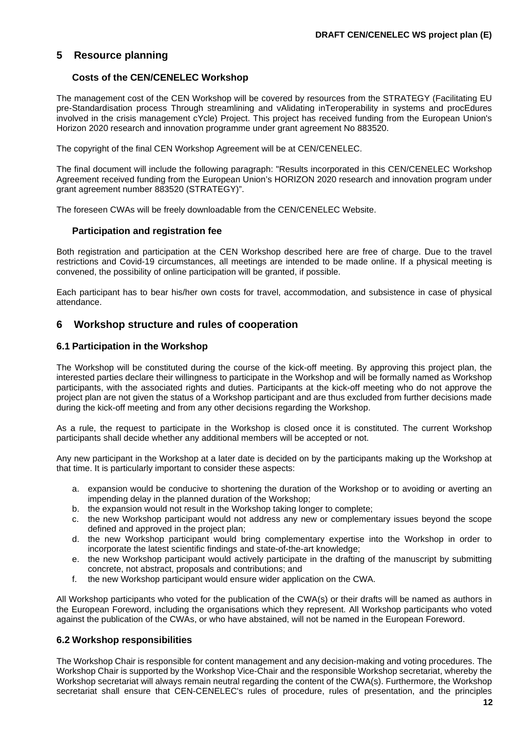# <span id="page-10-0"></span>**5 Resource planning**

#### **Costs of the CEN/CENELEC Workshop**

The management cost of the CEN Workshop will be covered by resources from the STRATEGY (Facilitating EU pre-Standardisation process Through streamlining and vAlidating inTeroperability in systems and procEdures involved in the crisis management cYcle) Project. This project has received funding from the European Union's Horizon 2020 research and innovation programme under grant agreement No 883520.

The copyright of the final CEN Workshop Agreement will be at CEN/CENELEC.

The final document will include the following paragraph: "Results incorporated in this CEN/CENELEC Workshop Agreement received funding from the European Union's HORIZON 2020 research and innovation program under grant agreement number 883520 (STRATEGY)".

The foreseen CWAs will be freely downloadable from the CEN/CENELEC Website.

#### **Participation and registration fee**

Both registration and participation at the CEN Workshop described here are free of charge. Due to the travel restrictions and Covid-19 circumstances, all meetings are intended to be made online. If a physical meeting is convened, the possibility of online participation will be granted, if possible.

Each participant has to bear his/her own costs for travel, accommodation, and subsistence in case of physical attendance.

## <span id="page-10-1"></span>**6 Workshop structure and rules of cooperation**

#### <span id="page-10-2"></span>**6.1 Participation in the Workshop**

The Workshop will be constituted during the course of the kick-off meeting. By approving this project plan, the interested parties declare their willingness to participate in the Workshop and will be formally named as Workshop participants, with the associated rights and duties. Participants at the kick-off meeting who do not approve the project plan are not given the status of a Workshop participant and are thus excluded from further decisions made during the kick-off meeting and from any other decisions regarding the Workshop.

As a rule, the request to participate in the Workshop is closed once it is constituted. The current Workshop participants shall decide whether any additional members will be accepted or not.

Any new participant in the Workshop at a later date is decided on by the participants making up the Workshop at that time. It is particularly important to consider these aspects:

- a. expansion would be conducive to shortening the duration of the Workshop or to avoiding or averting an impending delay in the planned duration of the Workshop;
- b. the expansion would not result in the Workshop taking longer to complete;
- c. the new Workshop participant would not address any new or complementary issues beyond the scope defined and approved in the project plan;
- d. the new Workshop participant would bring complementary expertise into the Workshop in order to incorporate the latest scientific findings and state-of-the-art knowledge;
- e. the new Workshop participant would actively participate in the drafting of the manuscript by submitting concrete, not abstract, proposals and contributions; and
- f. the new Workshop participant would ensure wider application on the CWA.

All Workshop participants who voted for the publication of the CWA(s) or their drafts will be named as authors in the European Foreword, including the organisations which they represent. All Workshop participants who voted against the publication of the CWAs, or who have abstained, will not be named in the European Foreword.

#### <span id="page-10-3"></span>**6.2 Workshop responsibilities**

The Workshop Chair is responsible for content management and any decision-making and voting procedures. The Workshop Chair is supported by the Workshop Vice-Chair and the responsible Workshop secretariat, whereby the Workshop secretariat will always remain neutral regarding the content of the CWA(s). Furthermore, the Workshop secretariat shall ensure that CEN-CENELEC's rules of procedure, rules of presentation, and the principles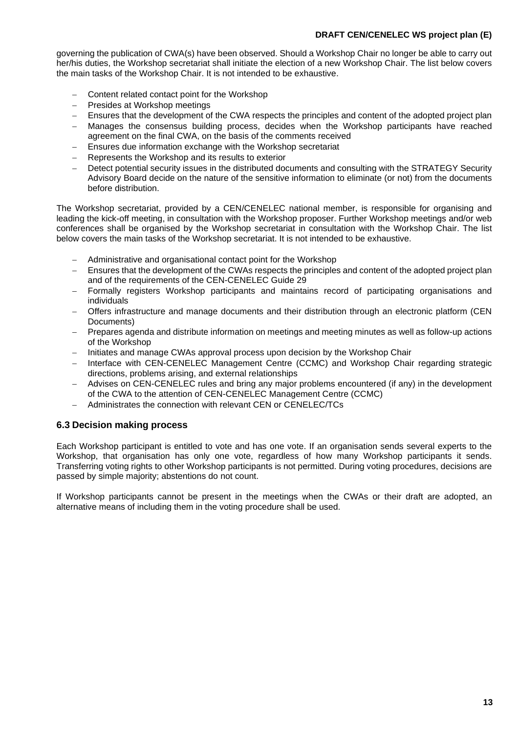#### **DRAFT CEN/CENELEC WS project plan (E)**

governing the publication of CWA(s) have been observed. Should a Workshop Chair no longer be able to carry out her/his duties, the Workshop secretariat shall initiate the election of a new Workshop Chair. The list below covers the main tasks of the Workshop Chair. It is not intended to be exhaustive.

- Content related contact point for the Workshop
- − Presides at Workshop meetings
- − Ensures that the development of the CWA respects the principles and content of the adopted project plan
- Manages the consensus building process, decides when the Workshop participants have reached agreement on the final CWA, on the basis of the comments received
- Ensures due information exchange with the Workshop secretariat
- Represents the Workshop and its results to exterior
- Detect potential security issues in the distributed documents and consulting with the STRATEGY Security Advisory Board decide on the nature of the sensitive information to eliminate (or not) from the documents before distribution.

The Workshop secretariat, provided by a CEN/CENELEC national member, is responsible for organising and leading the kick-off meeting, in consultation with the Workshop proposer. Further Workshop meetings and/or web conferences shall be organised by the Workshop secretariat in consultation with the Workshop Chair. The list below covers the main tasks of the Workshop secretariat. It is not intended to be exhaustive.

- − Administrative and organisational contact point for the Workshop
- − Ensures that the development of the CWAs respects the principles and content of the adopted project plan and of the requirements of the CEN-CENELEC Guide 29
- Formally registers Workshop participants and maintains record of participating organisations and individuals
- − Offers infrastructure and manage documents and their distribution through an electronic platform (CEN Documents)
- − Prepares agenda and distribute information on meetings and meeting minutes as well as follow-up actions of the Workshop
- − Initiates and manage CWAs approval process upon decision by the Workshop Chair
- − Interface with CEN-CENELEC Management Centre (CCMC) and Workshop Chair regarding strategic directions, problems arising, and external relationships
- − Advises on CEN-CENELEC rules and bring any major problems encountered (if any) in the development of the CWA to the attention of CEN-CENELEC Management Centre (CCMC)
- − Administrates the connection with relevant CEN or CENELEC/TCs

## <span id="page-11-0"></span>**6.3 Decision making process**

Each Workshop participant is entitled to vote and has one vote. If an organisation sends several experts to the Workshop, that organisation has only one vote, regardless of how many Workshop participants it sends. Transferring voting rights to other Workshop participants is not permitted. During voting procedures, decisions are passed by simple majority; abstentions do not count.

If Workshop participants cannot be present in the meetings when the CWAs or their draft are adopted, an alternative means of including them in the voting procedure shall be used.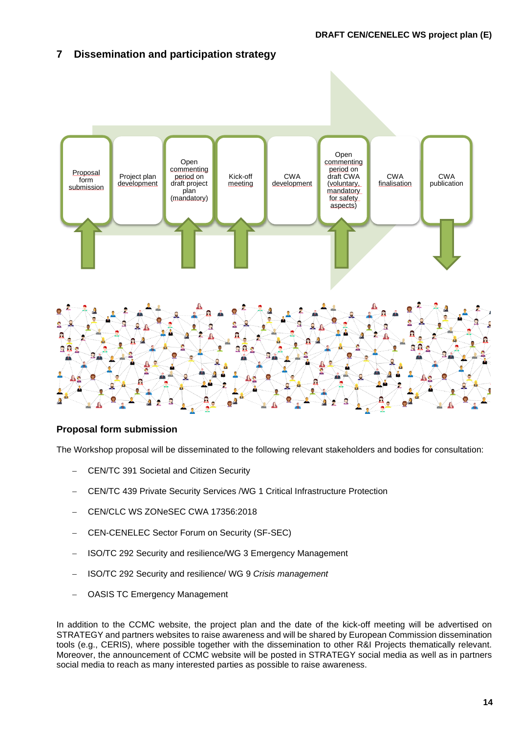# <span id="page-12-0"></span>**7 Dissemination and participation strategy**



## **Proposal form submission**

The Workshop proposal will be disseminated to the following relevant stakeholders and bodies for consultation:

- − CEN/TC 391 Societal and Citizen Security
- − CEN/TC 439 Private Security Services /WG 1 Critical Infrastructure Protection
- − CEN/CLC WS ZONeSEC CWA 17356:2018
- − CEN-CENELEC Sector Forum on Security (SF-SEC)
- − ISO/TC 292 Security and resilience/WG 3 Emergency Management
- − ISO/TC 292 Security and resilience/ WG 9 *Crisis management*
- − OASIS TC Emergency Management

In addition to the CCMC website, the project plan and the date of the kick-off meeting will be advertised on STRATEGY and partners websites to raise awareness and will be shared by European Commission dissemination tools (e.g., CERIS), where possible together with the dissemination to other R&I Projects thematically relevant. Moreover, the announcement of CCMC website will be posted in STRATEGY social media as well as in partners social media to reach as many interested parties as possible to raise awareness.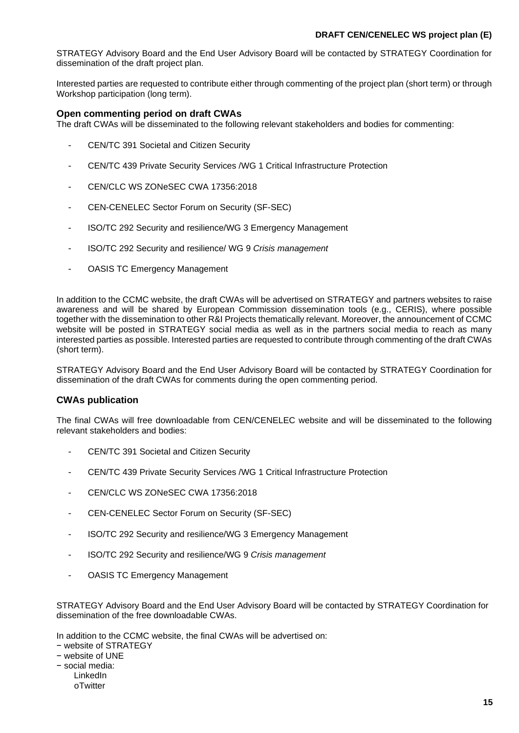STRATEGY Advisory Board and the End User Advisory Board will be contacted by STRATEGY Coordination for dissemination of the draft project plan.

Interested parties are requested to contribute either through commenting of the project plan (short term) or through Workshop participation (long term).

#### **Open commenting period on draft CWAs**

The draft CWAs will be disseminated to the following relevant stakeholders and bodies for commenting:

- CEN/TC 391 Societal and Citizen Security
- CEN/TC 439 Private Security Services /WG 1 Critical Infrastructure Protection
- CEN/CLC WS ZONeSEC CWA 17356:2018
- CEN-CENELEC Sector Forum on Security (SF-SEC)
- ISO/TC 292 Security and resilience/WG 3 Emergency Management
- ISO/TC 292 Security and resilience/ WG 9 *Crisis management*
- OASIS TC Emergency Management

In addition to the CCMC website, the draft CWAs will be advertised on STRATEGY and partners websites to raise awareness and will be shared by European Commission dissemination tools (e.g., CERIS), where possible together with the dissemination to other R&I Projects thematically relevant. Moreover, the announcement of CCMC website will be posted in STRATEGY social media as well as in the partners social media to reach as many interested parties as possible. Interested parties are requested to contribute through commenting of the draft CWAs (short term).

STRATEGY Advisory Board and the End User Advisory Board will be contacted by STRATEGY Coordination for dissemination of the draft CWAs for comments during the open commenting period.

#### **CWAs publication**

The final CWAs will free downloadable from CEN/CENELEC website and will be disseminated to the following relevant stakeholders and bodies:

- CEN/TC 391 Societal and Citizen Security
- CEN/TC 439 Private Security Services /WG 1 Critical Infrastructure Protection
- CEN/CLC WS ZONeSEC CWA 17356:2018
- CEN-CENELEC Sector Forum on Security (SF-SEC)
- ISO/TC 292 Security and resilience/WG 3 Emergency Management
- ISO/TC 292 Security and resilience/WG 9 *Crisis management*
- OASIS TC Emergency Management

STRATEGY Advisory Board and the End User Advisory Board will be contacted by STRATEGY Coordination for dissemination of the free downloadable CWAs.

In addition to the CCMC website, the final CWAs will be advertised on:

- − website of STRATEGY
- − website of UNE
- − social media:
	- LinkedIn
	- oTwitter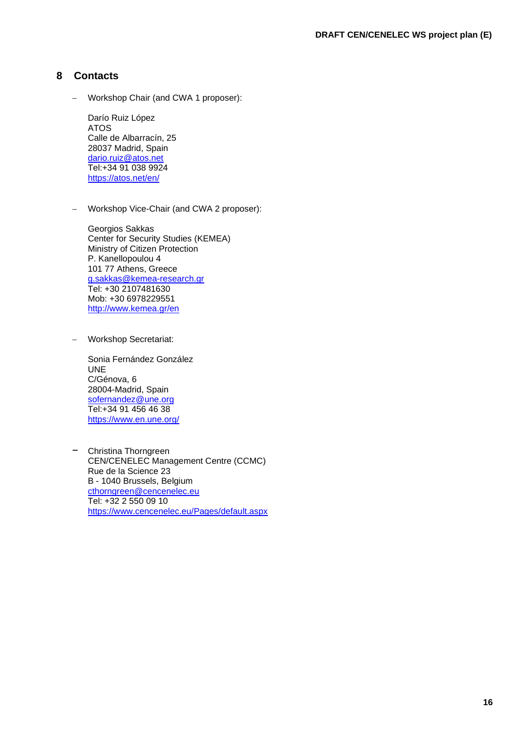# <span id="page-14-0"></span>**8 Contacts**

− Workshop Chair (and CWA 1 proposer):

Darío Ruiz López ATOS Calle de Albarracín, 25 28037 Madrid, Spain [dario.ruiz@atos.net](mailto:dario.ruiz@atos.net) Tel:+34 91 038 9924 <https://atos.net/en/>

− Workshop Vice-Chair (and CWA 2 proposer):

Georgios Sakkas Center for Security Studies (KEMEA) Ministry of Citizen Protection P. Kanellopoulou 4 101 77 Athens, Greece [g.sakkas@kemea-research.gr](mailto:g.sakkas@kemea-research.gr) Tel: +30 2107481630 Mob: +30 6978229551 <http://www.kemea.gr/en>

− Workshop Secretariat:

Sonia Fernández González UNE C/Génova, 6 28004-Madrid, Spain [sofernandez@une.org](mailto:sofernandez@une.org) Tel:+34 91 456 46 38 <https://www.en.une.org/>

− Christina Thorngreen CEN/CENELEC Management Centre (CCMC) Rue de la Science 23 B - 1040 Brussels, Belgium [cthorngreen@cencenelec.eu](mailto:cthorngreen@cencenelec.eu) Tel: +32 2 550 09 10 <https://www.cencenelec.eu/Pages/default.aspx>